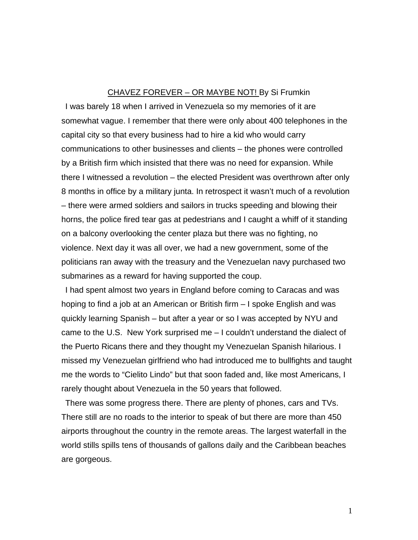## CHAVEZ FOREVER – OR MAYBE NOT! By Si Frumkin

I was barely 18 when I arrived in Venezuela so my memories of it are somewhat vague. I remember that there were only about 400 telephones in the capital city so that every business had to hire a kid who would carry communications to other businesses and clients – the phones were controlled by a British firm which insisted that there was no need for expansion. While there I witnessed a revolution – the elected President was overthrown after only 8 months in office by a military junta. In retrospect it wasn't much of a revolution – there were armed soldiers and sailors in trucks speeding and blowing their horns, the police fired tear gas at pedestrians and I caught a whiff of it standing on a balcony overlooking the center plaza but there was no fighting, no violence. Next day it was all over, we had a new government, some of the politicians ran away with the treasury and the Venezuelan navy purchased two submarines as a reward for having supported the coup.

I had spent almost two years in England before coming to Caracas and was hoping to find a job at an American or British firm – I spoke English and was quickly learning Spanish – but after a year or so I was accepted by NYU and came to the U.S. New York surprised me – I couldn't understand the dialect of the Puerto Ricans there and they thought my Venezuelan Spanish hilarious. I missed my Venezuelan girlfriend who had introduced me to bullfights and taught me the words to "Cielito Lindo" but that soon faded and, like most Americans, I rarely thought about Venezuela in the 50 years that followed.

There was some progress there. There are plenty of phones, cars and TVs. There still are no roads to the interior to speak of but there are more than 450 airports throughout the country in the remote areas. The largest waterfall in the world stills spills tens of thousands of gallons daily and the Caribbean beaches are gorgeous.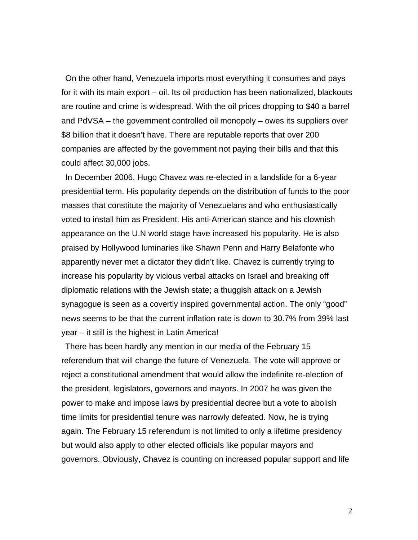On the other hand, Venezuela imports most everything it consumes and pays for it with its main export – oil. Its oil production has been nationalized, blackouts are routine and crime is widespread. With the oil prices dropping to \$40 a barrel and PdVSA – the government controlled oil monopoly – owes its suppliers over \$8 billion that it doesn't have. There are reputable reports that over 200 companies are affected by the government not paying their bills and that this could affect 30,000 jobs.

In December 2006, Hugo Chavez was re-elected in a landslide for a 6-year presidential term. His popularity depends on the distribution of funds to the poor masses that constitute the majority of Venezuelans and who enthusiastically voted to install him as President. His anti-American stance and his clownish appearance on the U.N world stage have increased his popularity. He is also praised by Hollywood luminaries like Shawn Penn and Harry Belafonte who apparently never met a dictator they didn't like. Chavez is currently trying to increase his popularity by vicious verbal attacks on Israel and breaking off diplomatic relations with the Jewish state; a thuggish attack on a Jewish synagogue is seen as a covertly inspired governmental action. The only "good" news seems to be that the current inflation rate is down to 30.7% from 39% last year – it still is the highest in Latin America!

There has been hardly any mention in our media of the February 15 referendum that will change the future of Venezuela. The vote will approve or reject a constitutional amendment that would allow the indefinite re-election of the president, legislators, governors and mayors. In 2007 he was given the power to make and impose laws by presidential decree but a vote to abolish time limits for presidential tenure was narrowly defeated. Now, he is trying again. The February 15 referendum is not limited to only a lifetime presidency but would also apply to other elected officials like popular mayors and governors. Obviously, Chavez is counting on increased popular support and life